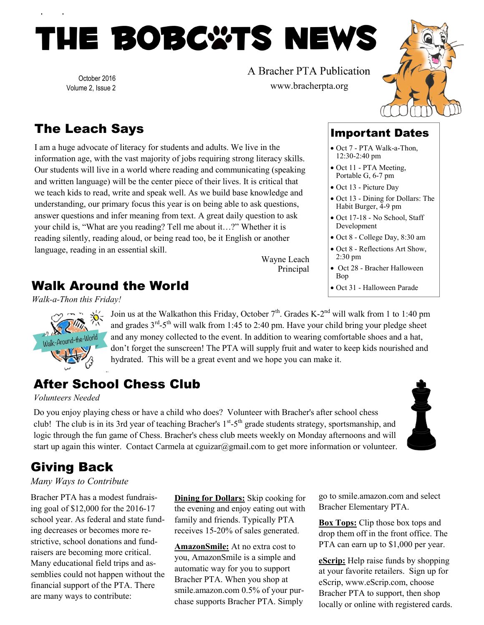# THE BOBC\*TS NEWS

October 2016 Volume 2, Issue 2 A Bracher PTA Publication www.bracherpta.org



# The Leach Says

I am a huge advocate of literacy for students and adults. We live in the information age, with the vast majority of jobs requiring strong literacy skills. Our students will live in a world where reading and communicating (speaking and written language) will be the center piece of their lives. It is critical that we teach kids to read, write and speak well. As we build base knowledge and understanding, our primary focus this year is on being able to ask questions, answer questions and infer meaning from text. A great daily question to ask your child is, "What are you reading? Tell me about it…?" Whether it is reading silently, reading aloud, or being read too, be it English or another language, reading in an essential skill.

Wayne Leach Principal

### Walk Around the World

*Walk-a-Thon this Friday!*



Join us at the Walkathon this Friday, October  $7<sup>th</sup>$ . Grades K-2<sup>nd</sup> will walk from 1 to 1:40 pm and grades  $3<sup>rd</sup>-5<sup>th</sup>$  will walk from 1:45 to 2:40 pm. Have your child bring your pledge sheet and any money collected to the event. In addition to wearing comfortable shoes and a hat, don't forget the sunscreen! The PTA will supply fruit and water to keep kids nourished and hydrated. This will be a great event and we hope you can make it.

### After School Chess Club

*Volunteers Needed*

Do you enjoy playing chess or have a child who does? Volunteer with Bracher's after school chess club! The club is in its 3rd year of teaching Bracher's 1<sup>st</sup>-5<sup>th</sup> grade students strategy, sportsmanship, and logic through the fun game of Chess. Bracher's chess club meets weekly on Monday afternoons and will start up again this winter. Contact Carmela at cguizar@gmail.com to get more information or volunteer.



# Giving Back

#### *Many Ways to Contribute*

Bracher PTA has a modest fundraising goal of \$12,000 for the 2016-17 school year. As federal and state funding decreases or becomes more restrictive, school donations and fundraisers are becoming more critical. Many educational field trips and assemblies could not happen without the financial support of the PTA. There are many ways to contribute:

**Dining for Dollars:** Skip cooking for the evening and enjoy eating out with family and friends. Typically PTA receives 15-20% of sales generated.

**AmazonSmile:** At no extra cost to you, AmazonSmile is a simple and automatic way for you to support Bracher PTA. When you shop at smile.amazon.com 0.5% of your purchase supports Bracher PTA. Simply

go to smile.amazon.com and select Bracher Elementary PTA.

**Box Tops:** Clip those box tops and drop them off in the front office. The PTA can earn up to \$1,000 per year.

**eScrip:** Help raise funds by shopping at your favorite retailers. Sign up for eScrip, www.eScrip.com, choose Bracher PTA to support, then shop locally or online with registered cards.

12:30-2:40 pm • Oct 11 - PTA Meeting, Portable G, 6-7 pm

Important Dates Oct 7 - PTA Walk-a-Thon,

- Oct 13 Picture Day
- Oct 13 Dining for Dollars: The Habit Burger, 4-9 pm
- Oct 17-18 No School, Staff Development
- Oct 8 College Day, 8:30 am
- Oct 8 Reflections Art Show, 2:30 pm
- Oct 28 Bracher Halloween Bop
- Oct 31 Halloween Parade